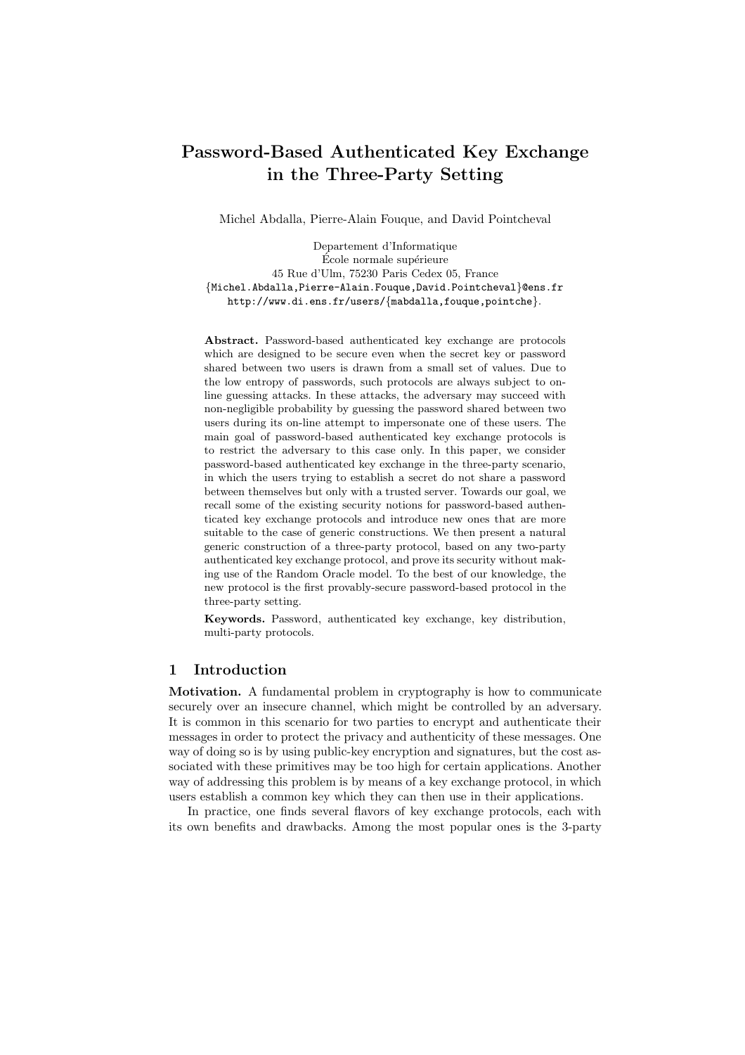# Password-Based Authenticated Key Exchange in the Three-Party Setting

Michel Abdalla, Pierre-Alain Fouque, and David Pointcheval

Departement d'Informatique École normale supérieure 45 Rue d'Ulm, 75230 Paris Cedex 05, France {Michel.Abdalla,Pierre-Alain.Fouque,David.Pointcheval}@ens.fr http://www.di.ens.fr/users/{mabdalla,fouque,pointche}.

Abstract. Password-based authenticated key exchange are protocols which are designed to be secure even when the secret key or password shared between two users is drawn from a small set of values. Due to the low entropy of passwords, such protocols are always subject to online guessing attacks. In these attacks, the adversary may succeed with non-negligible probability by guessing the password shared between two users during its on-line attempt to impersonate one of these users. The main goal of password-based authenticated key exchange protocols is to restrict the adversary to this case only. In this paper, we consider password-based authenticated key exchange in the three-party scenario, in which the users trying to establish a secret do not share a password between themselves but only with a trusted server. Towards our goal, we recall some of the existing security notions for password-based authenticated key exchange protocols and introduce new ones that are more suitable to the case of generic constructions. We then present a natural generic construction of a three-party protocol, based on any two-party authenticated key exchange protocol, and prove its security without making use of the Random Oracle model. To the best of our knowledge, the new protocol is the first provably-secure password-based protocol in the three-party setting.

Keywords. Password, authenticated key exchange, key distribution, multi-party protocols.

# 1 Introduction

Motivation. A fundamental problem in cryptography is how to communicate securely over an insecure channel, which might be controlled by an adversary. It is common in this scenario for two parties to encrypt and authenticate their messages in order to protect the privacy and authenticity of these messages. One way of doing so is by using public-key encryption and signatures, but the cost associated with these primitives may be too high for certain applications. Another way of addressing this problem is by means of a key exchange protocol, in which users establish a common key which they can then use in their applications.

In practice, one finds several flavors of key exchange protocols, each with its own benefits and drawbacks. Among the most popular ones is the 3-party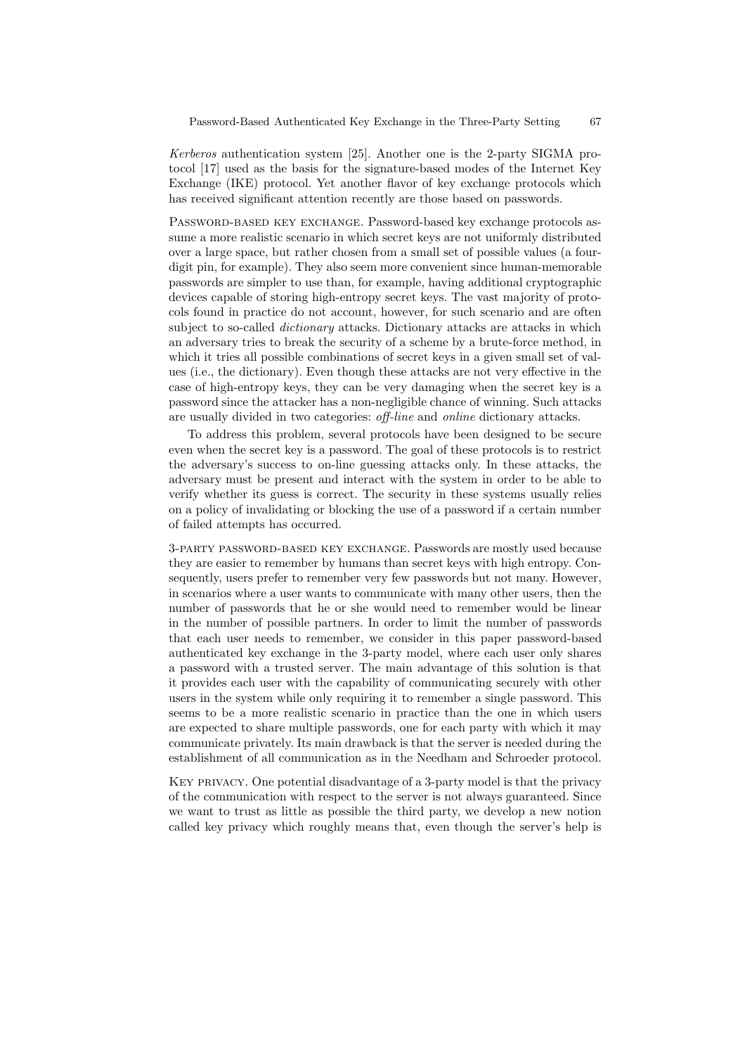Kerberos authentication system [25]. Another one is the 2-party SIGMA protocol [17] used as the basis for the signature-based modes of the Internet Key Exchange (IKE) protocol. Yet another flavor of key exchange protocols which has received significant attention recently are those based on passwords.

Password-based key exchange. Password-based key exchange protocols assume a more realistic scenario in which secret keys are not uniformly distributed over a large space, but rather chosen from a small set of possible values (a fourdigit pin, for example). They also seem more convenient since human-memorable passwords are simpler to use than, for example, having additional cryptographic devices capable of storing high-entropy secret keys. The vast majority of protocols found in practice do not account, however, for such scenario and are often subject to so-called *dictionary* attacks. Dictionary attacks are attacks in which an adversary tries to break the security of a scheme by a brute-force method, in which it tries all possible combinations of secret keys in a given small set of values (i.e., the dictionary). Even though these attacks are not very effective in the case of high-entropy keys, they can be very damaging when the secret key is a password since the attacker has a non-negligible chance of winning. Such attacks are usually divided in two categories: off-line and online dictionary attacks.

To address this problem, several protocols have been designed to be secure even when the secret key is a password. The goal of these protocols is to restrict the adversary's success to on-line guessing attacks only. In these attacks, the adversary must be present and interact with the system in order to be able to verify whether its guess is correct. The security in these systems usually relies on a policy of invalidating or blocking the use of a password if a certain number of failed attempts has occurred.

3-party password-based key exchange. Passwords are mostly used because they are easier to remember by humans than secret keys with high entropy. Consequently, users prefer to remember very few passwords but not many. However, in scenarios where a user wants to communicate with many other users, then the number of passwords that he or she would need to remember would be linear in the number of possible partners. In order to limit the number of passwords that each user needs to remember, we consider in this paper password-based authenticated key exchange in the 3-party model, where each user only shares a password with a trusted server. The main advantage of this solution is that it provides each user with the capability of communicating securely with other users in the system while only requiring it to remember a single password. This seems to be a more realistic scenario in practice than the one in which users are expected to share multiple passwords, one for each party with which it may communicate privately. Its main drawback is that the server is needed during the establishment of all communication as in the Needham and Schroeder protocol.

KEY PRIVACY. One potential disadvantage of a 3-party model is that the privacy of the communication with respect to the server is not always guaranteed. Since we want to trust as little as possible the third party, we develop a new notion called key privacy which roughly means that, even though the server's help is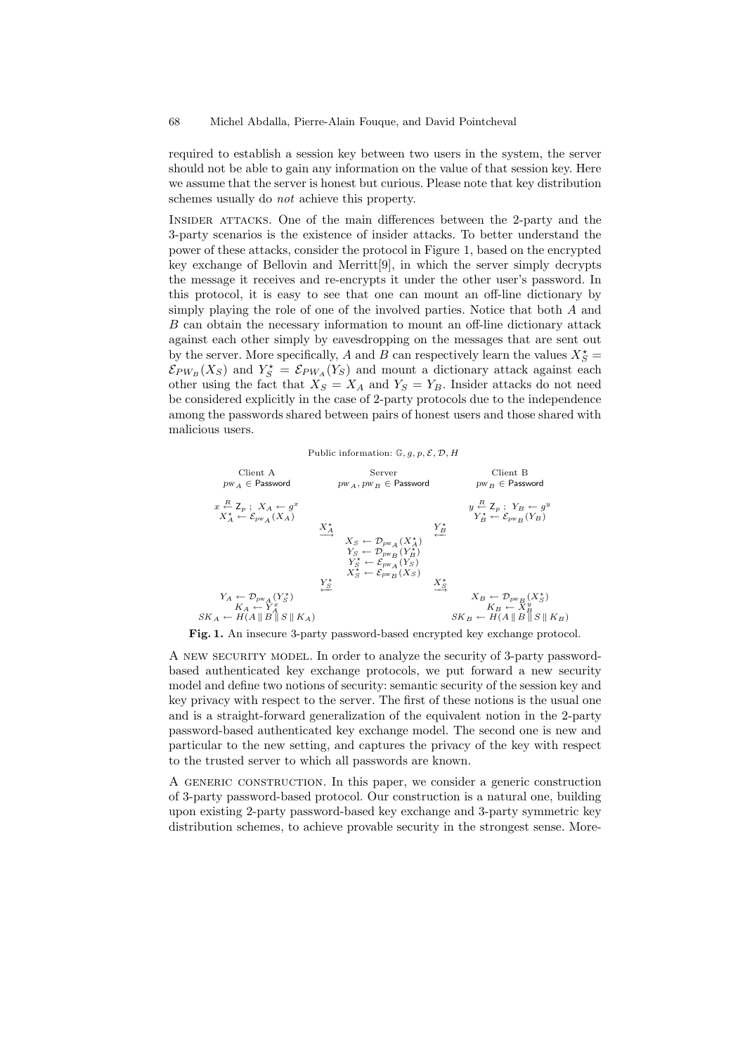required to establish a session key between two users in the system, the server should not be able to gain any information on the value of that session key. Here we assume that the server is honest but curious. Please note that key distribution schemes usually do not achieve this property.

INSIDER ATTACKS. One of the main differences between the 2-party and the 3-party scenarios is the existence of insider attacks. To better understand the power of these attacks, consider the protocol in Figure 1, based on the encrypted key exchange of Bellovin and Merritt[9], in which the server simply decrypts the message it receives and re-encrypts it under the other user's password. In this protocol, it is easy to see that one can mount an off-line dictionary by simply playing the role of one of the involved parties. Notice that both  $A$  and B can obtain the necessary information to mount an off-line dictionary attack against each other simply by eavesdropping on the messages that are sent out by the server. More specifically, A and B can respectively learn the values  $X^{\star}_{S}$  =  $\mathcal{E}_{PW_B}(X_S)$  and  $Y^*_{S} = \mathcal{E}_{PW_A}(Y_S)$  and mount a dictionary attack against each other using the fact that  $X_S = X_A$  and  $Y_S = Y_B$ . Insider attacks do not need be considered explicitly in the case of 2-party protocols due to the independence among the passwords shared between pairs of honest users and those shared with malicious users.

Public information:  $\mathbb{G}, g, p, \mathcal{E}, \mathcal{D}, H$ 



Fig. 1. An insecure 3-party password-based encrypted key exchange protocol.

A new security model. In order to analyze the security of 3-party passwordbased authenticated key exchange protocols, we put forward a new security model and define two notions of security: semantic security of the session key and key privacy with respect to the server. The first of these notions is the usual one and is a straight-forward generalization of the equivalent notion in the 2-party password-based authenticated key exchange model. The second one is new and particular to the new setting, and captures the privacy of the key with respect to the trusted server to which all passwords are known.

A generic construction. In this paper, we consider a generic construction of 3-party password-based protocol. Our construction is a natural one, building upon existing 2-party password-based key exchange and 3-party symmetric key distribution schemes, to achieve provable security in the strongest sense. More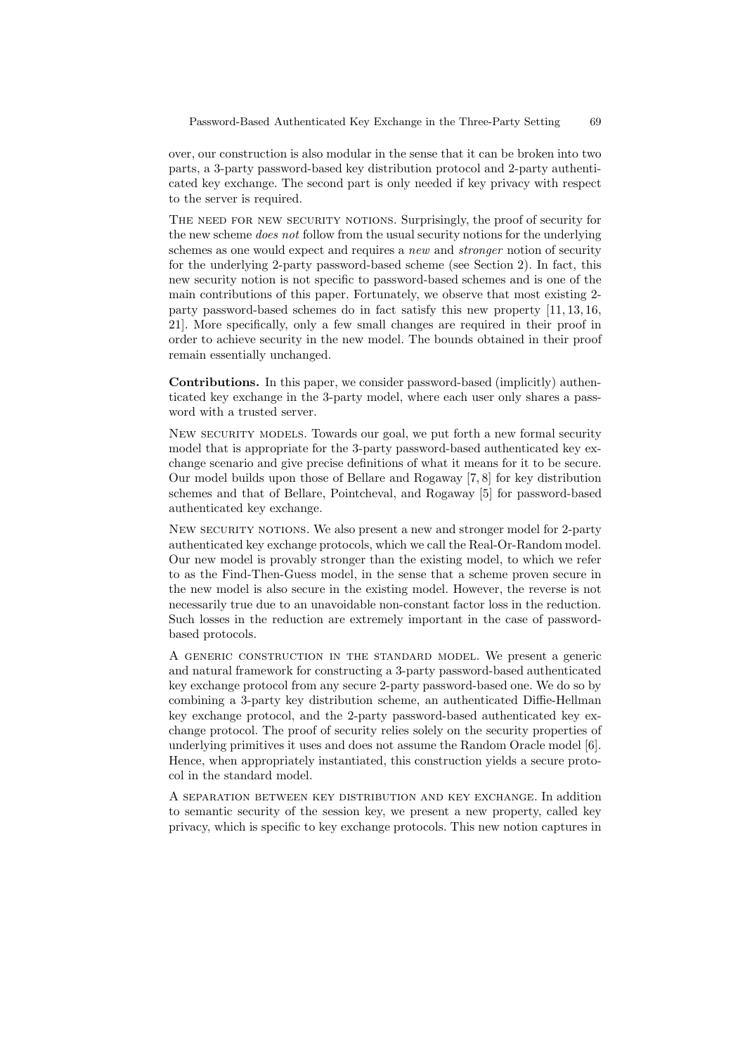over, our construction is also modular in the sense that it can be broken into two parts, a 3-party password-based key distribution protocol and 2-party authenticated key exchange. The second part is only needed if key privacy with respect to the server is required.

THE NEED FOR NEW SECURITY NOTIONS. Surprisingly, the proof of security for the new scheme does not follow from the usual security notions for the underlying schemes as one would expect and requires a new and *stronger* notion of security for the underlying 2-party password-based scheme (see Section 2). In fact, this new security notion is not specific to password-based schemes and is one of the main contributions of this paper. Fortunately, we observe that most existing 2 party password-based schemes do in fact satisfy this new property [11, 13, 16, 21]. More specifically, only a few small changes are required in their proof in order to achieve security in the new model. The bounds obtained in their proof remain essentially unchanged.

Contributions. In this paper, we consider password-based (implicitly) authenticated key exchange in the 3-party model, where each user only shares a password with a trusted server.

NEW SECURITY MODELS. Towards our goal, we put forth a new formal security model that is appropriate for the 3-party password-based authenticated key exchange scenario and give precise definitions of what it means for it to be secure. Our model builds upon those of Bellare and Rogaway [7, 8] for key distribution schemes and that of Bellare, Pointcheval, and Rogaway [5] for password-based authenticated key exchange.

NEW SECURITY NOTIONS. We also present a new and stronger model for 2-party authenticated key exchange protocols, which we call the Real-Or-Random model. Our new model is provably stronger than the existing model, to which we refer to as the Find-Then-Guess model, in the sense that a scheme proven secure in the new model is also secure in the existing model. However, the reverse is not necessarily true due to an unavoidable non-constant factor loss in the reduction. Such losses in the reduction are extremely important in the case of passwordbased protocols.

A generic construction in the standard model. We present a generic and natural framework for constructing a 3-party password-based authenticated key exchange protocol from any secure 2-party password-based one. We do so by combining a 3-party key distribution scheme, an authenticated Diffie-Hellman key exchange protocol, and the 2-party password-based authenticated key exchange protocol. The proof of security relies solely on the security properties of underlying primitives it uses and does not assume the Random Oracle model [6]. Hence, when appropriately instantiated, this construction yields a secure protocol in the standard model.

A separation between key distribution and key exchange. In addition to semantic security of the session key, we present a new property, called key privacy, which is specific to key exchange protocols. This new notion captures in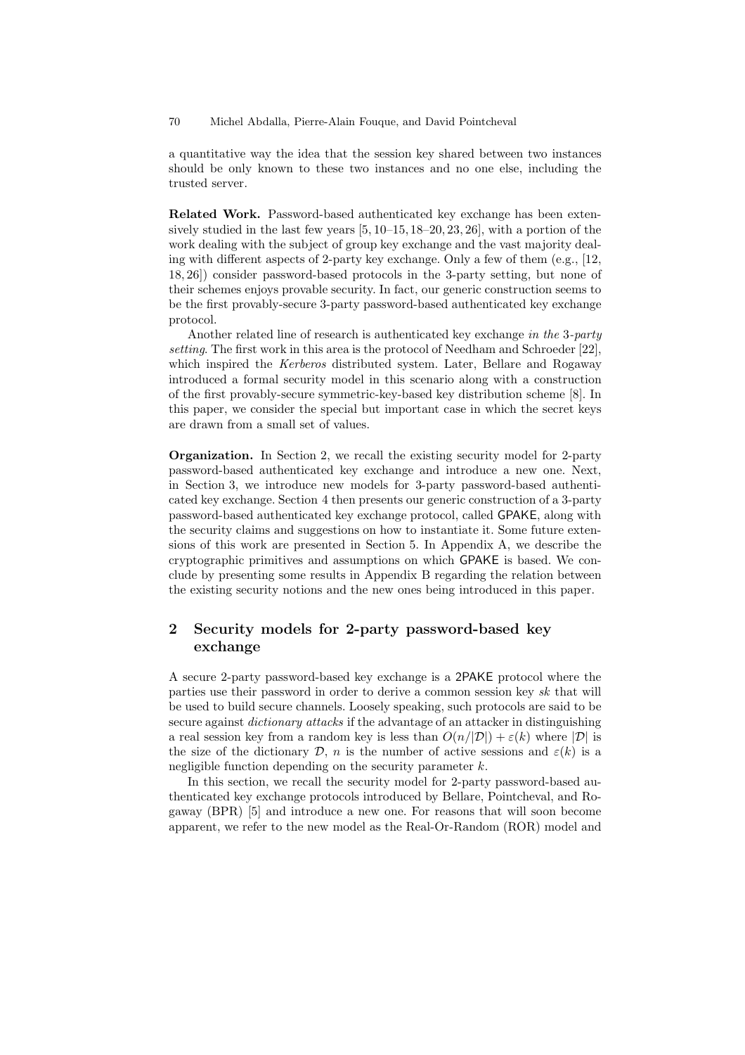a quantitative way the idea that the session key shared between two instances should be only known to these two instances and no one else, including the trusted server.

Related Work. Password-based authenticated key exchange has been extensively studied in the last few years [5, 10–15, 18–20, 23, 26], with a portion of the work dealing with the subject of group key exchange and the vast majority dealing with different aspects of 2-party key exchange. Only a few of them (e.g., [12, 18, 26]) consider password-based protocols in the 3-party setting, but none of their schemes enjoys provable security. In fact, our generic construction seems to be the first provably-secure 3-party password-based authenticated key exchange protocol.

Another related line of research is authenticated key exchange in the 3-party setting. The first work in this area is the protocol of Needham and Schroeder [22], which inspired the *Kerberos* distributed system. Later, Bellare and Rogaway introduced a formal security model in this scenario along with a construction of the first provably-secure symmetric-key-based key distribution scheme [8]. In this paper, we consider the special but important case in which the secret keys are drawn from a small set of values.

Organization. In Section 2, we recall the existing security model for 2-party password-based authenticated key exchange and introduce a new one. Next, in Section 3, we introduce new models for 3-party password-based authenticated key exchange. Section 4 then presents our generic construction of a 3-party password-based authenticated key exchange protocol, called GPAKE, along with the security claims and suggestions on how to instantiate it. Some future extensions of this work are presented in Section 5. In Appendix A, we describe the cryptographic primitives and assumptions on which GPAKE is based. We conclude by presenting some results in Appendix B regarding the relation between the existing security notions and the new ones being introduced in this paper.

# 2 Security models for 2-party password-based key exchange

A secure 2-party password-based key exchange is a 2PAKE protocol where the parties use their password in order to derive a common session key sk that will be used to build secure channels. Loosely speaking, such protocols are said to be secure against *dictionary attacks* if the advantage of an attacker in distinguishing a real session key from a random key is less than  $O(n/|\mathcal{D}|) + \varepsilon(k)$  where  $|\mathcal{D}|$  is the size of the dictionary D, n is the number of active sessions and  $\varepsilon(k)$  is a negligible function depending on the security parameter k.

In this section, we recall the security model for 2-party password-based authenticated key exchange protocols introduced by Bellare, Pointcheval, and Rogaway (BPR) [5] and introduce a new one. For reasons that will soon become apparent, we refer to the new model as the Real-Or-Random (ROR) model and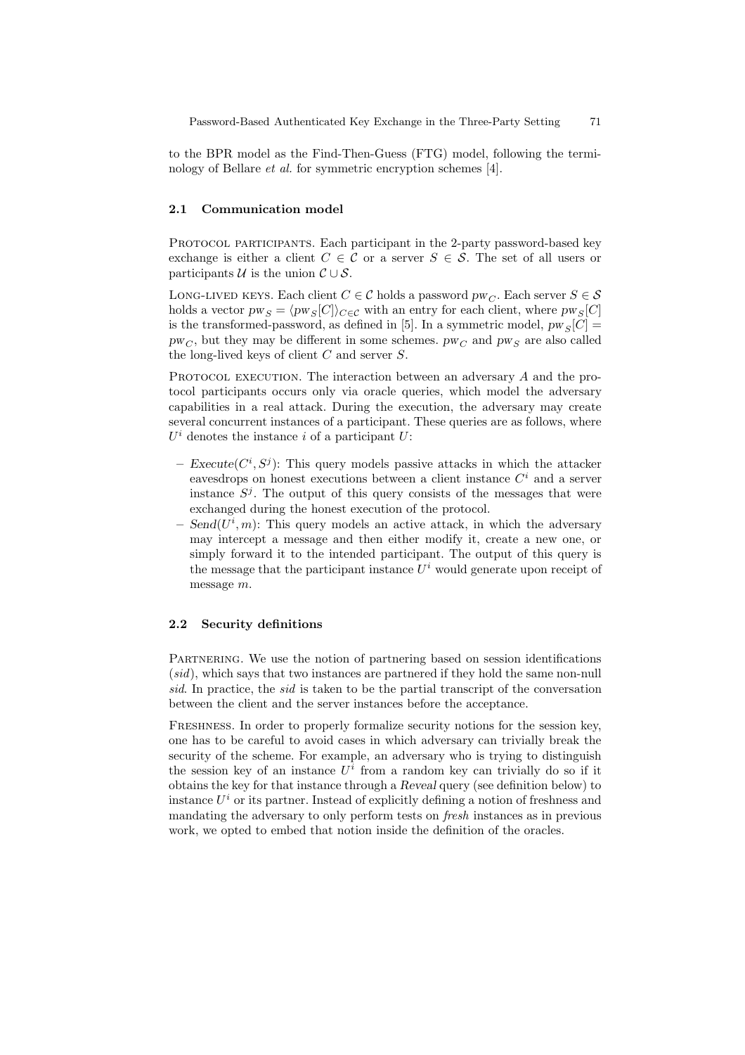to the BPR model as the Find-Then-Guess (FTG) model, following the terminology of Bellare *et al.* for symmetric encryption schemes [4].

#### 2.1 Communication model

PROTOCOL PARTICIPANTS. Each participant in the 2-party password-based key exchange is either a client  $C \in \mathcal{C}$  or a server  $S \in \mathcal{S}$ . The set of all users or participants  $\mathcal{U}$  is the union  $\mathcal{C} \cup \mathcal{S}$ .

LONG-LIVED KEYS. Each client  $C \in \mathcal{C}$  holds a password  $pw_C$ . Each server  $S \in \mathcal{S}$ holds a vector  $pw_S = \langle pw_S[C] \rangle_{C \in \mathcal{C}}$  with an entry for each client, where  $pw_S[C]$ is the transformed-password, as defined in [5]. In a symmetric model,  $pw_S[C] =$  $pw<sub>C</sub>$ , but they may be different in some schemes.  $pw<sub>C</sub>$  and  $pw<sub>S</sub>$  are also called the long-lived keys of client C and server S.

PROTOCOL EXECUTION. The interaction between an adversary  $A$  and the protocol participants occurs only via oracle queries, which model the adversary capabilities in a real attack. During the execution, the adversary may create several concurrent instances of a participant. These queries are as follows, where  $U^i$  denotes the instance i of a participant  $U$ :

- Execute $(C^i, S^j)$ : This query models passive attacks in which the attacker eavesdrops on honest executions between a client instance  $C<sup>i</sup>$  and a server instance  $S^{j}$ . The output of this query consists of the messages that were exchanged during the honest execution of the protocol.
- Send $(U^i, m)$ : This query models an active attack, in which the adversary may intercept a message and then either modify it, create a new one, or simply forward it to the intended participant. The output of this query is the message that the participant instance  $U^i$  would generate upon receipt of message m.

#### 2.2 Security definitions

Partnering. We use the notion of partnering based on session identifications (sid), which says that two instances are partnered if they hold the same non-null sid. In practice, the sid is taken to be the partial transcript of the conversation between the client and the server instances before the acceptance.

Freshness. In order to properly formalize security notions for the session key, one has to be careful to avoid cases in which adversary can trivially break the security of the scheme. For example, an adversary who is trying to distinguish the session key of an instance  $U^i$  from a random key can trivially do so if it obtains the key for that instance through a Reveal query (see definition below) to instance  $U^i$  or its partner. Instead of explicitly defining a notion of freshness and mandating the adversary to only perform tests on fresh instances as in previous work, we opted to embed that notion inside the definition of the oracles.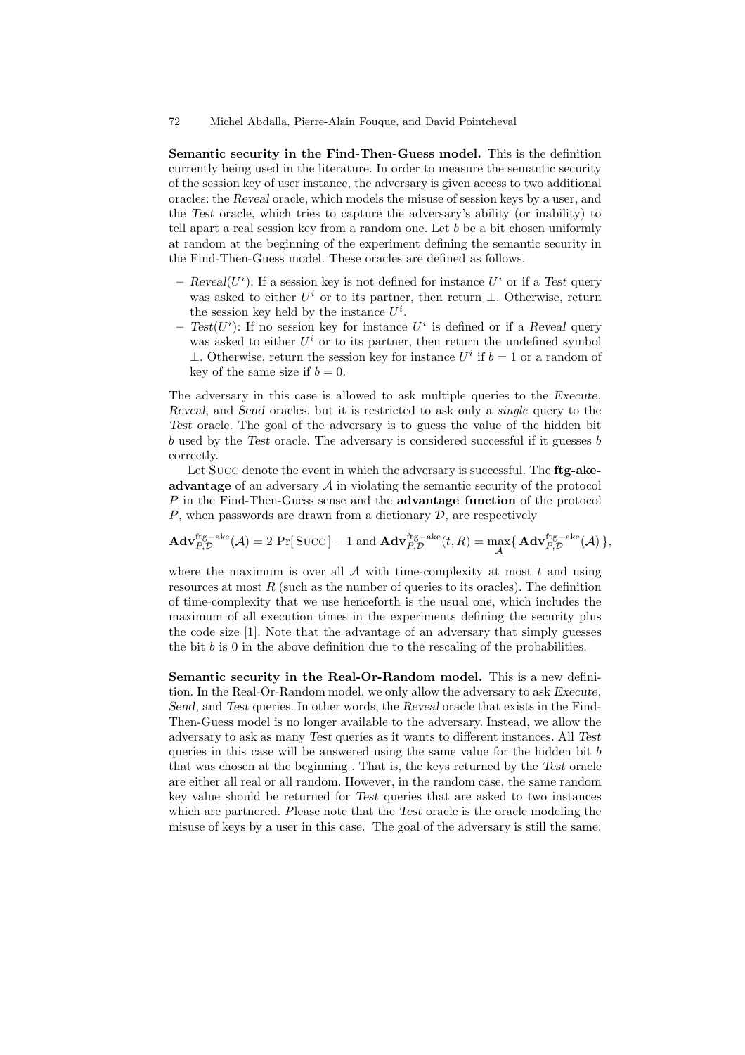Semantic security in the Find-Then-Guess model. This is the definition currently being used in the literature. In order to measure the semantic security of the session key of user instance, the adversary is given access to two additional oracles: the Reveal oracle, which models the misuse of session keys by a user, and the Test oracle, which tries to capture the adversary's ability (or inability) to tell apart a real session key from a random one. Let  $b$  be a bit chosen uniformly at random at the beginning of the experiment defining the semantic security in the Find-Then-Guess model. These oracles are defined as follows.

- Reveal( $U^i$ ): If a session key is not defined for instance  $U^i$  or if a Test query was asked to either  $U^i$  or to its partner, then return  $\perp$ . Otherwise, return the session key held by the instance  $U^i$ .
- Test( $U^i$ ): If no session key for instance  $U^i$  is defined or if a Reveal query was asked to either  $U^i$  or to its partner, then return the undefined symbol ⊥. Otherwise, return the session key for instance  $U^i$  if  $b = 1$  or a random of key of the same size if  $b = 0$ .

The adversary in this case is allowed to ask multiple queries to the Execute, Reveal, and Send oracles, but it is restricted to ask only a single query to the Test oracle. The goal of the adversary is to guess the value of the hidden bit  $b$  used by the Test oracle. The adversary is considered successful if it guesses  $b$ correctly.

Let Succ denote the event in which the adversary is successful. The ftg-akeadvantage of an adversary  $A$  in violating the semantic security of the protocol P in the Find-Then-Guess sense and the advantage function of the protocol  $P$ , when passwords are drawn from a dictionary  $D$ , are respectively

$$
\mathbf{Adv}_{P,\mathcal{D}}^{\mathrm{fig-ake}}(\mathcal{A}) = 2 \ \mathrm{Pr}[\ \mathrm{Succ}] - 1 \ \mathrm{and} \ \mathbf{Adv}_{P,\mathcal{D}}^{\mathrm{ftg-ake}}(t,R) = \max_{\mathcal{A}} \{ \ \mathbf{Adv}_{P,\mathcal{D}}^{\mathrm{ftg-ake}}(\mathcal{A}) \ \},
$$

where the maximum is over all  $\mathcal A$  with time-complexity at most  $t$  and using resources at most  $R$  (such as the number of queries to its oracles). The definition of time-complexity that we use henceforth is the usual one, which includes the maximum of all execution times in the experiments defining the security plus the code size [1]. Note that the advantage of an adversary that simply guesses the bit b is 0 in the above definition due to the rescaling of the probabilities.

Semantic security in the Real-Or-Random model. This is a new definition. In the Real-Or-Random model, we only allow the adversary to ask Execute, Send, and Test queries. In other words, the Reveal oracle that exists in the Find-Then-Guess model is no longer available to the adversary. Instead, we allow the adversary to ask as many Test queries as it wants to different instances. All Test queries in this case will be answered using the same value for the hidden bit b that was chosen at the beginning . That is, the keys returned by the Test oracle are either all real or all random. However, in the random case, the same random key value should be returned for Test queries that are asked to two instances which are partnered. Please note that the Test oracle is the oracle modeling the misuse of keys by a user in this case. The goal of the adversary is still the same: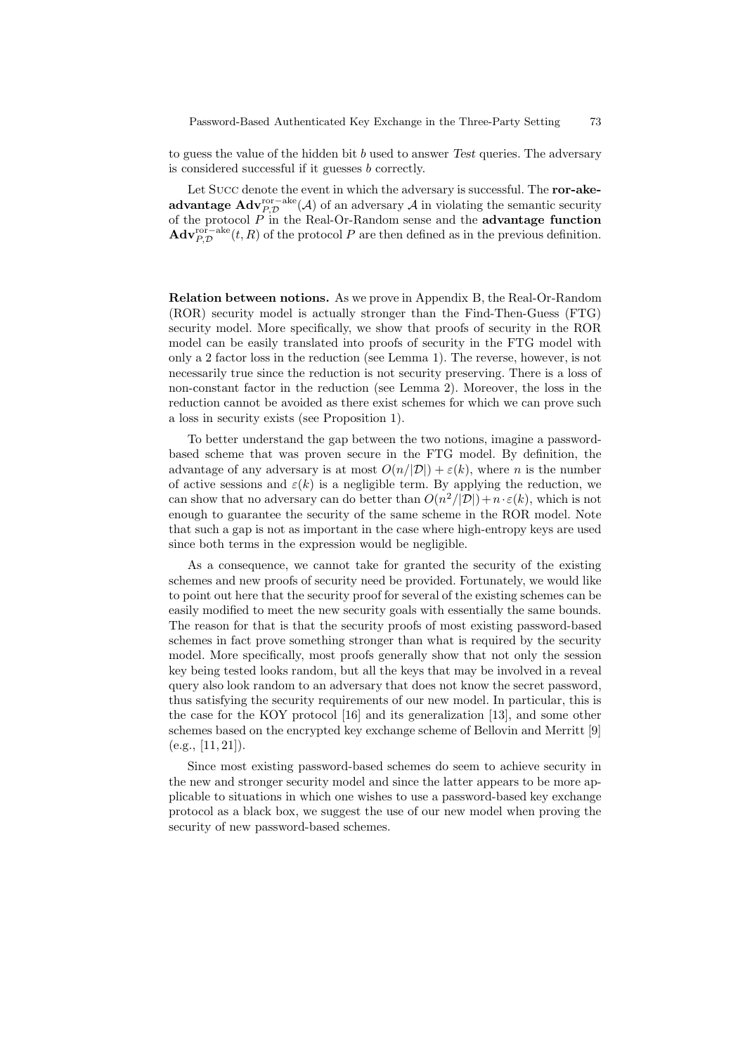to guess the value of the hidden bit  $b$  used to answer Test queries. The adversary is considered successful if it guesses b correctly.

Let Succ denote the event in which the adversary is successful. The **ror-ake**advantage  $\mathrm{Adv}_{P,\mathcal{D}}^{\mathrm{ror}-\mathrm{ake}}(\mathcal{A})$  of an adversary  $\mathcal{A}$  in violating the semantic security of the protocol  $\overrightarrow{P}$  in the Real-Or-Random sense and the **advantage function**  $\mathbf{Adv}_{P,\mathcal{D}}^{\text{ror}-\text{ake}}(t,R)$  of the protocol P are then defined as in the previous definition.

Relation between notions. As we prove in Appendix B, the Real-Or-Random (ROR) security model is actually stronger than the Find-Then-Guess (FTG) security model. More specifically, we show that proofs of security in the ROR model can be easily translated into proofs of security in the FTG model with only a 2 factor loss in the reduction (see Lemma 1). The reverse, however, is not necessarily true since the reduction is not security preserving. There is a loss of non-constant factor in the reduction (see Lemma 2). Moreover, the loss in the reduction cannot be avoided as there exist schemes for which we can prove such a loss in security exists (see Proposition 1).

To better understand the gap between the two notions, imagine a passwordbased scheme that was proven secure in the FTG model. By definition, the advantage of any adversary is at most  $O(n/|\mathcal{D}|) + \varepsilon(k)$ , where n is the number of active sessions and  $\varepsilon(k)$  is a negligible term. By applying the reduction, we can show that no adversary can do better than  $O(n^2/|\mathcal{D}|) + n \cdot \varepsilon(k)$ , which is not enough to guarantee the security of the same scheme in the ROR model. Note that such a gap is not as important in the case where high-entropy keys are used since both terms in the expression would be negligible.

As a consequence, we cannot take for granted the security of the existing schemes and new proofs of security need be provided. Fortunately, we would like to point out here that the security proof for several of the existing schemes can be easily modified to meet the new security goals with essentially the same bounds. The reason for that is that the security proofs of most existing password-based schemes in fact prove something stronger than what is required by the security model. More specifically, most proofs generally show that not only the session key being tested looks random, but all the keys that may be involved in a reveal query also look random to an adversary that does not know the secret password, thus satisfying the security requirements of our new model. In particular, this is the case for the KOY protocol [16] and its generalization [13], and some other schemes based on the encrypted key exchange scheme of Bellovin and Merritt [9]  $(e.g., [11, 21]).$ 

Since most existing password-based schemes do seem to achieve security in the new and stronger security model and since the latter appears to be more applicable to situations in which one wishes to use a password-based key exchange protocol as a black box, we suggest the use of our new model when proving the security of new password-based schemes.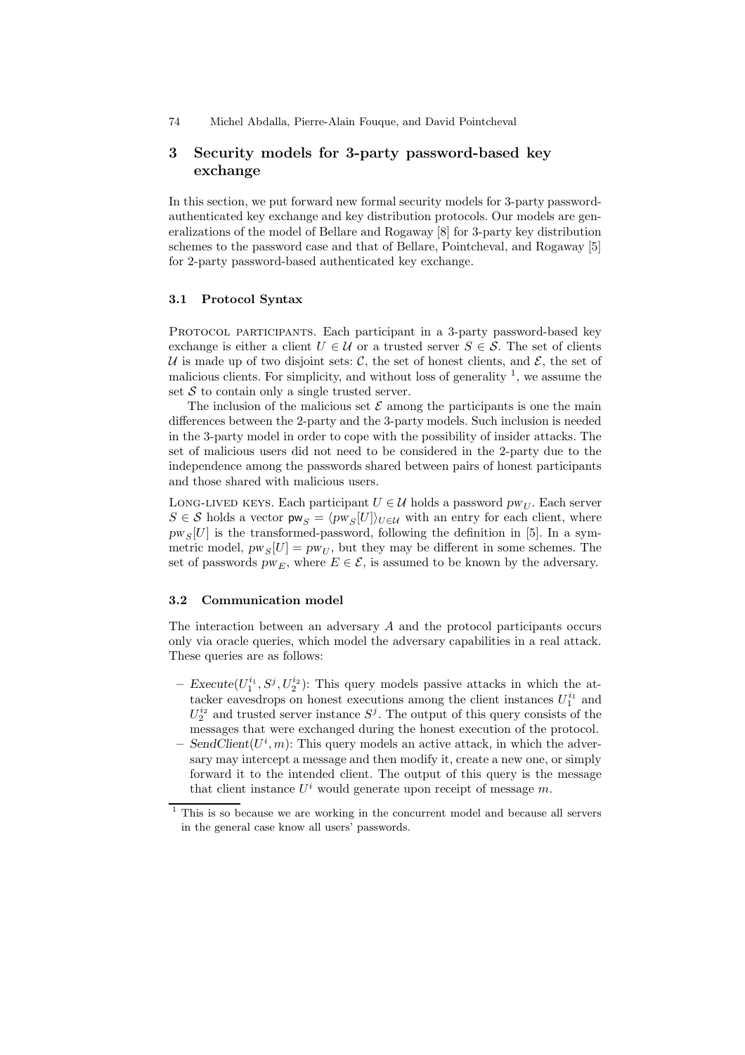74 Michel Abdalla, Pierre-Alain Fouque, and David Pointcheval

# 3 Security models for 3-party password-based key exchange

In this section, we put forward new formal security models for 3-party passwordauthenticated key exchange and key distribution protocols. Our models are generalizations of the model of Bellare and Rogaway [8] for 3-party key distribution schemes to the password case and that of Bellare, Pointcheval, and Rogaway [5] for 2-party password-based authenticated key exchange.

### 3.1 Protocol Syntax

PROTOCOL PARTICIPANTS. Each participant in a 3-party password-based key exchange is either a client  $U \in \mathcal{U}$  or a trusted server  $S \in \mathcal{S}$ . The set of clients U is made up of two disjoint sets: C, the set of honest clients, and  $\mathcal{E}$ , the set of malicious clients. For simplicity, and without loss of generality  $\frac{1}{1}$ , we assume the set  $S$  to contain only a single trusted server.

The inclusion of the malicious set  $\mathcal E$  among the participants is one the main differences between the 2-party and the 3-party models. Such inclusion is needed in the 3-party model in order to cope with the possibility of insider attacks. The set of malicious users did not need to be considered in the 2-party due to the independence among the passwords shared between pairs of honest participants and those shared with malicious users.

LONG-LIVED KEYS. Each participant  $U \in \mathcal{U}$  holds a password  $pw_{U}$ . Each server  $S \in \mathcal{S}$  holds a vector  $\mathsf{pw}_S = \langle pw_S[U] \rangle_{U \in \mathcal{U}}$  with an entry for each client, where  $pw_s[U]$  is the transformed-password, following the definition in [5]. In a symmetric model,  $pw_S[U] = pw_U$ , but they may be different in some schemes. The set of passwords  $pw_E$ , where  $E \in \mathcal{E}$ , is assumed to be known by the adversary.

#### 3.2 Communication model

The interaction between an adversary A and the protocol participants occurs only via oracle queries, which model the adversary capabilities in a real attack. These queries are as follows:

- Execute $(U_1^{i_1}, S^j, U_2^{i_2})$ : This query models passive attacks in which the attacker eavesdrops on honest executions among the client instances  $U_1^{i_1}$  and  $U_2^{i_2}$  and trusted server instance  $S^j$ . The output of this query consists of the messages that were exchanged during the honest execution of the protocol.
- SendClient $(U^i, m)$ : This query models an active attack, in which the adversary may intercept a message and then modify it, create a new one, or simply forward it to the intended client. The output of this query is the message that client instance  $U^i$  would generate upon receipt of message m.

<sup>&</sup>lt;sup>1</sup> This is so because we are working in the concurrent model and because all servers in the general case know all users' passwords.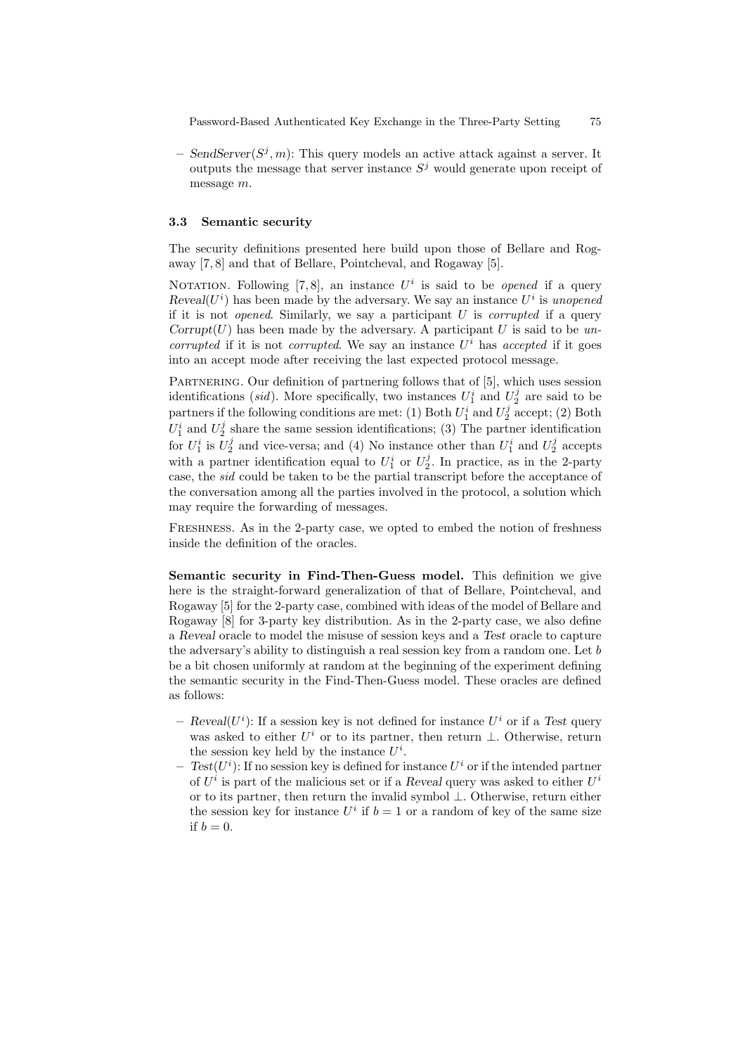- SendServer $(S^j, m)$ : This query models an active attack against a server. It outputs the message that server instance  $S^j$  would generate upon receipt of message m.

#### 3.3 Semantic security

The security definitions presented here build upon those of Bellare and Rogaway [7, 8] and that of Bellare, Pointcheval, and Rogaway [5].

NOTATION. Following [7,8], an instance  $U^i$  is said to be *opened* if a query Reveal( $U^i$ ) has been made by the adversary. We say an instance  $U^i$  is unopened if it is not *opened*. Similarly, we say a participant  $U$  is *corrupted* if a query Corrupt(U) has been made by the adversary. A participant U is said to be uncorrupted if it is not corrupted. We say an instance  $U^i$  has accepted if it goes into an accept mode after receiving the last expected protocol message.

Partnering. Our definition of partnering follows that of [5], which uses session identifications (sid). More specifically, two instances  $U_1^i$  and  $U_2^j$  are said to be partners if the following conditions are met: (1) Both  $U_1^i$  and  $U_2^j$  accept; (2) Both  $U_1^i$  and  $U_2^j$  share the same session identifications; (3) The partner identification for  $U_1^i$  is  $U_2^j$  and vice-versa; and (4) No instance other than  $U_1^i$  and  $U_2^j$  accepts with a partner identification equal to  $U_1^i$  or  $U_2^j$ . In practice, as in the 2-party case, the sid could be taken to be the partial transcript before the acceptance of the conversation among all the parties involved in the protocol, a solution which may require the forwarding of messages.

Freshness. As in the 2-party case, we opted to embed the notion of freshness inside the definition of the oracles.

Semantic security in Find-Then-Guess model. This definition we give here is the straight-forward generalization of that of Bellare, Pointcheval, and Rogaway [5] for the 2-party case, combined with ideas of the model of Bellare and Rogaway [8] for 3-party key distribution. As in the 2-party case, we also define a Reveal oracle to model the misuse of session keys and a Test oracle to capture the adversary's ability to distinguish a real session key from a random one. Let  $b$ be a bit chosen uniformly at random at the beginning of the experiment defining the semantic security in the Find-Then-Guess model. These oracles are defined as follows:

- Reveal( $U^i$ ): If a session key is not defined for instance  $U^i$  or if a Test query was asked to either  $U^i$  or to its partner, then return  $\perp$ . Otherwise, return the session key held by the instance  $U^i$ .
- $-$  Test $(U<sup>i</sup>)$ : If no session key is defined for instance  $U<sup>i</sup>$  or if the intended partner of  $U^i$  is part of the malicious set or if a Reveal query was asked to either  $U^i$ or to its partner, then return the invalid symbol ⊥. Otherwise, return either the session key for instance  $U^i$  if  $b = 1$  or a random of key of the same size if  $b = 0$ .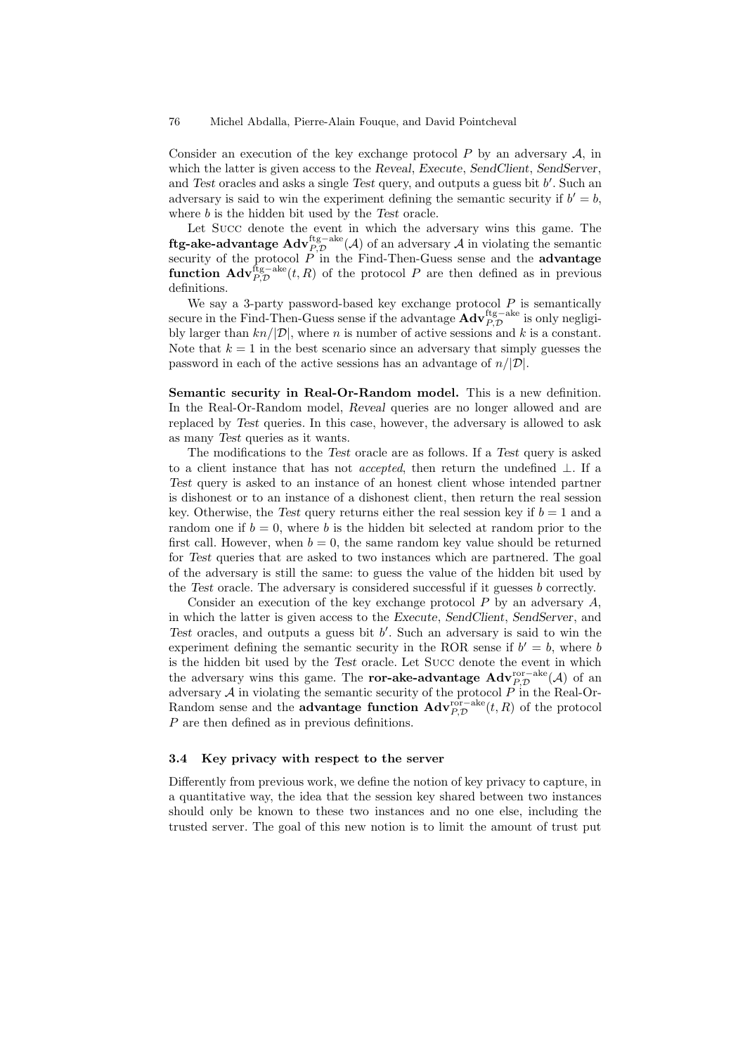#### 76 Michel Abdalla, Pierre-Alain Fouque, and David Pointcheval

Consider an execution of the key exchange protocol  $P$  by an adversary  $\mathcal{A}$ , in which the latter is given access to the Reveal, Execute, SendClient, SendServer, and Test oracles and asks a single Test query, and outputs a guess bit  $b'$ . Such an adversary is said to win the experiment defining the semantic security if  $b' = b$ , where b is the hidden bit used by the Test oracle.

Let Succ denote the event in which the adversary wins this game. The **ftg-ake-advantage**  $\text{Adv}_{P,\mathcal{D}}^{\text{ftg-ake}}(\mathcal{A})$  of an adversary  $\mathcal{A}$  in violating the semantic security of the protocol  $\tilde{P}$  in the Find-Then-Guess sense and the **advantage function**  $\mathbf{Adv}_{P,\mathcal{D}}^{\text{ftg-ake}}(t, R)$  of the protocol P are then defined as in previous definitions.

We say a 3-party password-based key exchange protocol  $P$  is semantically secure in the Find-Then-Guess sense if the advantage  $\mathbf{Adv}_{P,\mathcal{D}}^{\mathrm{ftg-ake}}$  is only negligibly larger than  $k n/|\mathcal{D}|$ , where n is number of active sessions and k is a constant. Note that  $k = 1$  in the best scenario since an adversary that simply guesses the password in each of the active sessions has an advantage of  $n/|\mathcal{D}|$ .

Semantic security in Real-Or-Random model. This is a new definition. In the Real-Or-Random model, Reveal queries are no longer allowed and are replaced by Test queries. In this case, however, the adversary is allowed to ask as many Test queries as it wants.

The modifications to the Test oracle are as follows. If a Test query is asked to a client instance that has not *accepted*, then return the undefined  $\perp$ . If a Test query is asked to an instance of an honest client whose intended partner is dishonest or to an instance of a dishonest client, then return the real session key. Otherwise, the Test query returns either the real session key if  $b = 1$  and a random one if  $b = 0$ , where b is the hidden bit selected at random prior to the first call. However, when  $b = 0$ , the same random key value should be returned for Test queries that are asked to two instances which are partnered. The goal of the adversary is still the same: to guess the value of the hidden bit used by the Test oracle. The adversary is considered successful if it guesses b correctly.

Consider an execution of the key exchange protocol  $P$  by an adversary  $A$ , in which the latter is given access to the Execute, SendClient, SendServer, and Test oracles, and outputs a guess bit  $b'$ . Such an adversary is said to win the experiment defining the semantic security in the ROR sense if  $b' = b$ , where b is the hidden bit used by the Test oracle. Let Succ denote the event in which the adversary wins this game. The **ror-ake-advantage**  $\text{Adv}_{P,\mathcal{D}}^{\text{ror-ake}}(\mathcal{A})$  of an adversary  $A$  in violating the semantic security of the protocol  $P$  in the Real-Or-Random sense and the **advantage function**  $\mathbf{Adv}_{P,\mathcal{D}}^{\text{tor}-\text{ake}}(t, R)$  of the protocol P are then defined as in previous definitions.

#### 3.4 Key privacy with respect to the server

Differently from previous work, we define the notion of key privacy to capture, in a quantitative way, the idea that the session key shared between two instances should only be known to these two instances and no one else, including the trusted server. The goal of this new notion is to limit the amount of trust put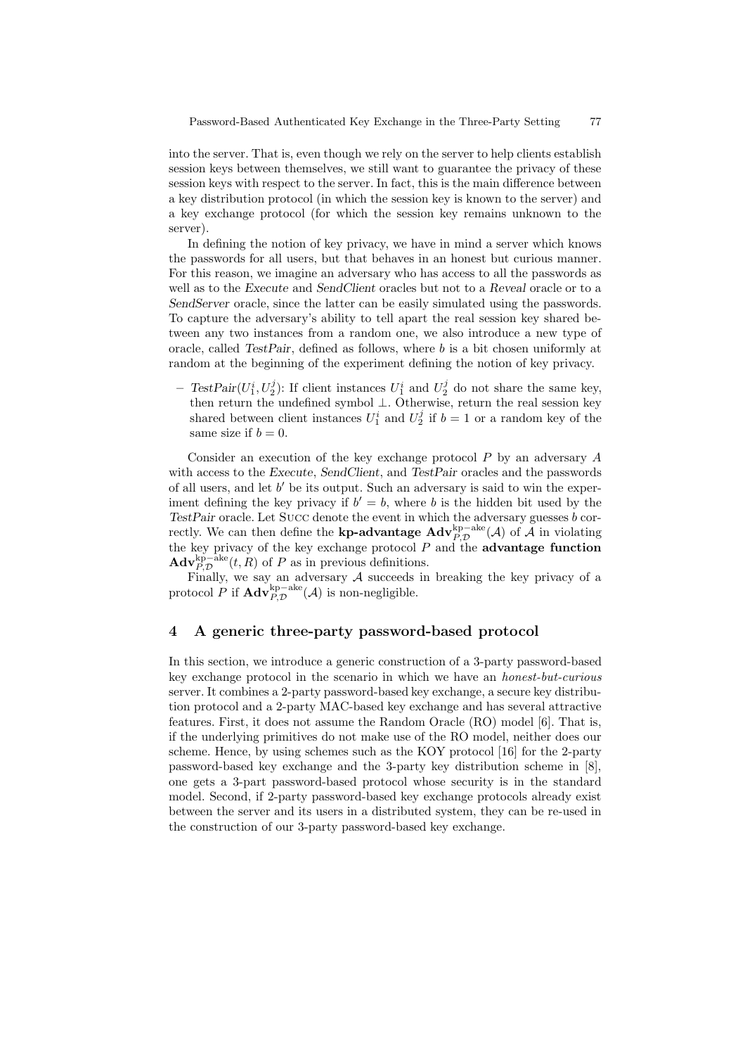into the server. That is, even though we rely on the server to help clients establish session keys between themselves, we still want to guarantee the privacy of these session keys with respect to the server. In fact, this is the main difference between a key distribution protocol (in which the session key is known to the server) and a key exchange protocol (for which the session key remains unknown to the server).

In defining the notion of key privacy, we have in mind a server which knows the passwords for all users, but that behaves in an honest but curious manner. For this reason, we imagine an adversary who has access to all the passwords as well as to the Execute and SendClient oracles but not to a Reveal oracle or to a SendServer oracle, since the latter can be easily simulated using the passwords. To capture the adversary's ability to tell apart the real session key shared between any two instances from a random one, we also introduce a new type of oracle, called TestPair, defined as follows, where  $b$  is a bit chosen uniformly at random at the beginning of the experiment defining the notion of key privacy.

- TestPair $(U_1^i, U_2^j)$ : If client instances  $U_1^i$  and  $U_2^j$  do not share the same key, then return the undefined symbol ⊥. Otherwise, return the real session key shared between client instances  $U_1^i$  and  $U_2^j$  if  $b=1$  or a random key of the same size if  $b = 0$ .

Consider an execution of the key exchange protocol  $P$  by an adversary  $A$ with access to the Execute, SendClient, and TestPair oracles and the passwords of all users, and let  $b'$  be its output. Such an adversary is said to win the experiment defining the key privacy if  $b' = b$ , where b is the hidden bit used by the TestPair oracle. Let Succ denote the event in which the adversary guesses b correctly. We can then define the **kp-advantage**  $\text{Adv}_{P,\mathcal{D}}^{\text{kp-ake}}(\mathcal{A})$  of  $\tilde{\mathcal{A}}$  in violating the key privacy of the key exchange protocol  $P$  and the **advantage function**  $\mathbf{Adv}_{P,\mathcal{D}}^{\text{kp-ake}}(t,R)$  of P as in previous definitions.

Finally, we say an adversary  $A$  succeeds in breaking the key privacy of a protocol P if  $\mathbf{Adv}_{P,\mathcal{D}}^{\text{kp-ake}}(\mathcal{A})$  is non-negligible.

# 4 A generic three-party password-based protocol

In this section, we introduce a generic construction of a 3-party password-based key exchange protocol in the scenario in which we have an honest-but-curious server. It combines a 2-party password-based key exchange, a secure key distribution protocol and a 2-party MAC-based key exchange and has several attractive features. First, it does not assume the Random Oracle (RO) model [6]. That is, if the underlying primitives do not make use of the RO model, neither does our scheme. Hence, by using schemes such as the KOY protocol [16] for the 2-party password-based key exchange and the 3-party key distribution scheme in [8], one gets a 3-part password-based protocol whose security is in the standard model. Second, if 2-party password-based key exchange protocols already exist between the server and its users in a distributed system, they can be re-used in the construction of our 3-party password-based key exchange.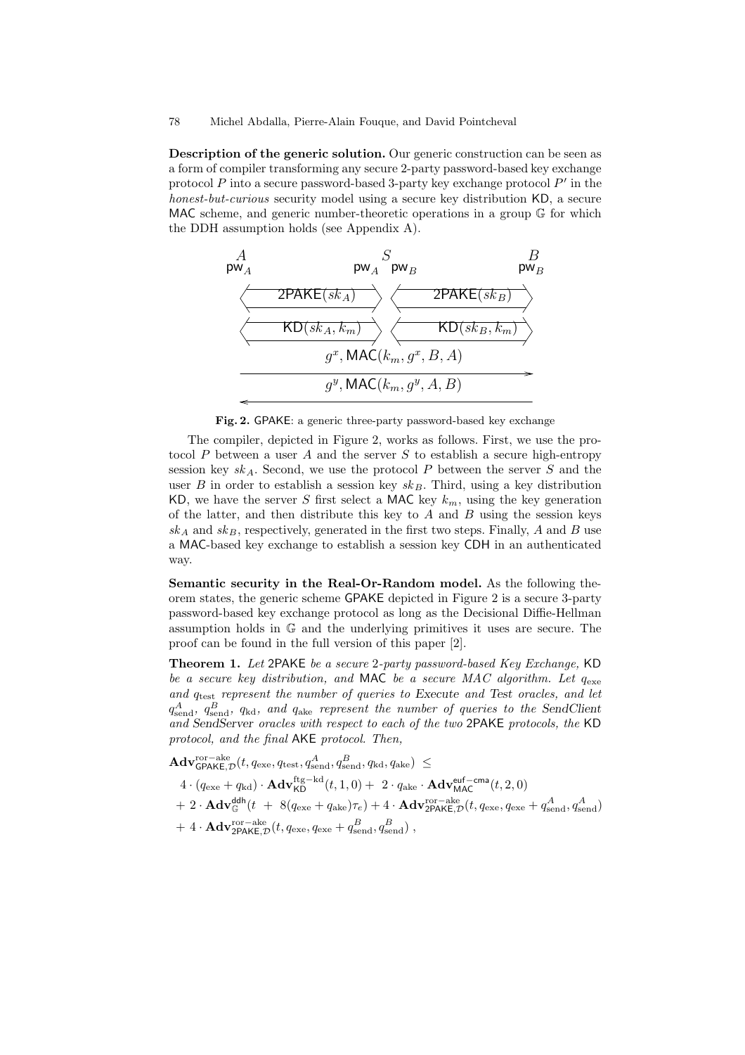Description of the generic solution. Our generic construction can be seen as a form of compiler transforming any secure 2-party password-based key exchange protocol  $P$  into a secure password-based 3-party key exchange protocol  $P'$  in the honest-but-curious security model using a secure key distribution KD, a secure MAC scheme, and generic number-theoretic operations in a group G for which the DDH assumption holds (see Appendix A).



Fig. 2. GPAKE: a generic three-party password-based key exchange

The compiler, depicted in Figure 2, works as follows. First, we use the protocol  $P$  between a user  $A$  and the server  $S$  to establish a secure high-entropy session key  $sk_A$ . Second, we use the protocol P between the server S and the user B in order to establish a session key  $sk_B$ . Third, using a key distribution KD, we have the server S first select a MAC key  $k_m$ , using the key generation of the latter, and then distribute this key to  $A$  and  $B$  using the session keys  $sk_A$  and  $sk_B$ , respectively, generated in the first two steps. Finally, A and B use a MAC-based key exchange to establish a session key CDH in an authenticated way.

Semantic security in the Real-Or-Random model. As the following theorem states, the generic scheme GPAKE depicted in Figure 2 is a secure 3-party password-based key exchange protocol as long as the Decisional Diffie-Hellman assumption holds in G and the underlying primitives it uses are secure. The proof can be found in the full version of this paper [2].

Theorem 1. Let 2PAKE be a secure 2-party password-based Key Exchange, KD be a secure key distribution, and MAC be a secure MAC algorithm. Let  $q_{\text{exe}}$ and  $q_{\text{test}}$  represent the number of queries to Execute and Test oracles, and let  $q_{\rm send}^A, \; q_{\rm send}^B, \; q_{\rm kd}, \; \textit{and} \; q_{\rm ake} \; \textit{represent the number of queries to the SendClient}$ and SendServer oracles with respect to each of the two 2PAKE protocols, the KD protocol, and the final AKE protocol. Then,

$$
\mathbf{Adv}_{\mathsf{GPAKE},\mathcal{D}}^{\text{ror-ake}}(t, q_{\text{exe}}, q_{\text{test}}, q_{\text{send}}^A, q_{\text{send}}, q_{\text{kd}}, q_{\text{ake}}) \le
$$
\n
$$
4 \cdot (q_{\text{exe}} + q_{\text{kd}}) \cdot \mathbf{Adv}_{\mathsf{KD}}^{\text{ftg-kd}}(t, 1, 0) + 2 \cdot q_{\text{ake}} \cdot \mathbf{Adv}_{\mathsf{MAC}}^{\text{euf-cma}}(t, 2, 0)
$$
\n
$$
+ 2 \cdot \mathbf{Adv}_{\mathsf{G}}^{\text{ddh}}(t + 8(q_{\text{exe}} + q_{\text{ake}})\tau_e) + 4 \cdot \mathbf{Adv}_{\mathsf{2PAKE},\mathcal{D}}^{\text{cor-ake}}(t, q_{\text{exe}}, q_{\text{exe}} + q_{\text{send}}^A, q_{\text{send}}^A)
$$
\n
$$
+ 4 \cdot \mathbf{Adv}_{\mathsf{2PAKE},\mathcal{D}}^{\text{ror-ake}}(t, q_{\text{exe}}, q_{\text{exe}} + q_{\text{send}}^B, q_{\text{send}}^B),
$$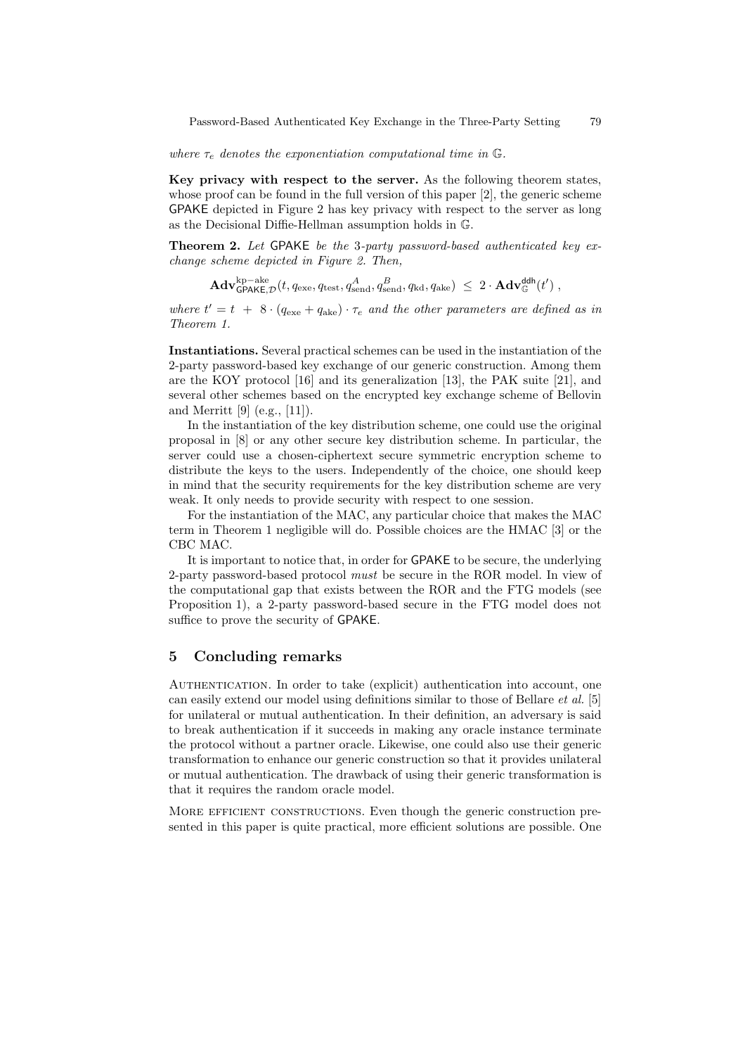where  $\tau_e$  denotes the exponentiation computational time in G.

Key privacy with respect to the server. As the following theorem states, whose proof can be found in the full version of this paper [2], the generic scheme GPAKE depicted in Figure 2 has key privacy with respect to the server as long as the Decisional Diffie-Hellman assumption holds in G.

Theorem 2. Let GPAKE be the 3-party password-based authenticated key exchange scheme depicted in Figure 2. Then,

 $\mathbf{Adv}_{\mathsf{GPAKE},\mathcal{D}}^{\mathrm{kp}-\mathrm{ake}}(t,q_{\mathrm{exe}},q_{\mathrm{test}},q_{\mathrm{send}}^A,q_{\mathrm{send}}^B,q_{\mathrm{kd}},q_{\mathrm{ake}}) \ \leq \ 2 \cdot \mathbf{Adv}_{\mathbb{G}}^{\mathsf{ddh}}(t') \ ,$ 

where  $t' = t + 8 \cdot (q_{\text{exe}} + q_{\text{ake}}) \cdot \tau_e$  and the other parameters are defined as in Theorem 1.

Instantiations. Several practical schemes can be used in the instantiation of the 2-party password-based key exchange of our generic construction. Among them are the KOY protocol [16] and its generalization [13], the PAK suite [21], and several other schemes based on the encrypted key exchange scheme of Bellovin and Merritt [9]  $(e.g., [11])$ .

In the instantiation of the key distribution scheme, one could use the original proposal in [8] or any other secure key distribution scheme. In particular, the server could use a chosen-ciphertext secure symmetric encryption scheme to distribute the keys to the users. Independently of the choice, one should keep in mind that the security requirements for the key distribution scheme are very weak. It only needs to provide security with respect to one session.

For the instantiation of the MAC, any particular choice that makes the MAC term in Theorem 1 negligible will do. Possible choices are the HMAC [3] or the CBC MAC.

It is important to notice that, in order for GPAKE to be secure, the underlying 2-party password-based protocol must be secure in the ROR model. In view of the computational gap that exists between the ROR and the FTG models (see Proposition 1), a 2-party password-based secure in the FTG model does not suffice to prove the security of GPAKE.

### 5 Concluding remarks

Authentication. In order to take (explicit) authentication into account, one can easily extend our model using definitions similar to those of Bellare et al. [5] for unilateral or mutual authentication. In their definition, an adversary is said to break authentication if it succeeds in making any oracle instance terminate the protocol without a partner oracle. Likewise, one could also use their generic transformation to enhance our generic construction so that it provides unilateral or mutual authentication. The drawback of using their generic transformation is that it requires the random oracle model.

More efficient constructions. Even though the generic construction presented in this paper is quite practical, more efficient solutions are possible. One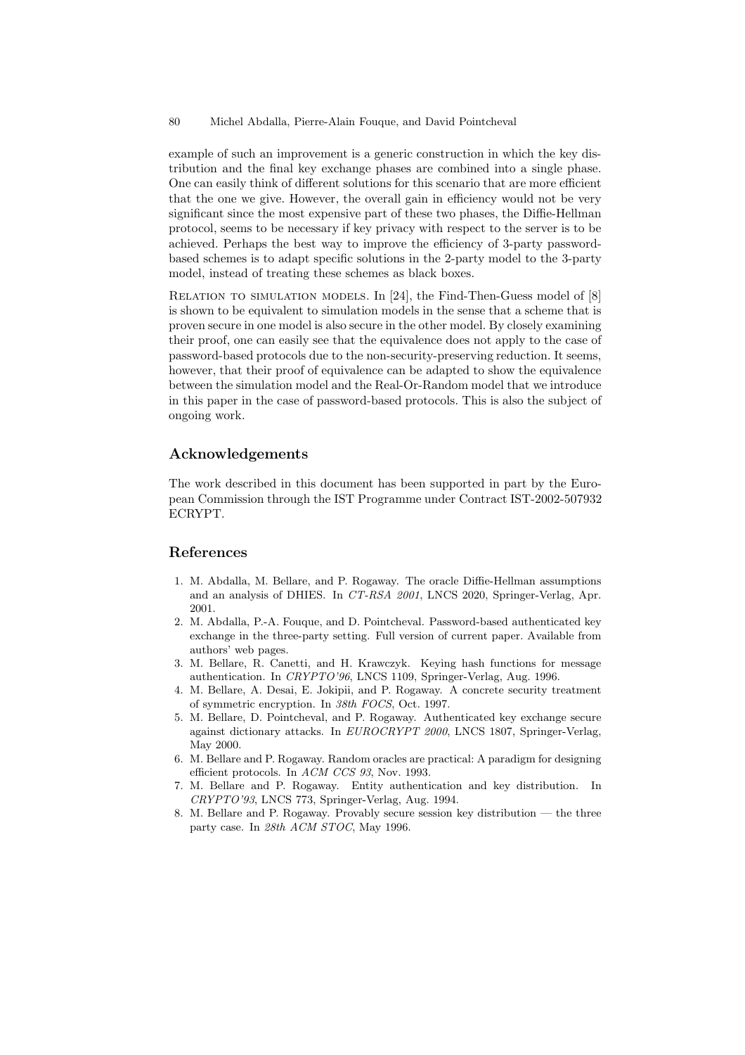example of such an improvement is a generic construction in which the key distribution and the final key exchange phases are combined into a single phase. One can easily think of different solutions for this scenario that are more efficient that the one we give. However, the overall gain in efficiency would not be very significant since the most expensive part of these two phases, the Diffie-Hellman protocol, seems to be necessary if key privacy with respect to the server is to be achieved. Perhaps the best way to improve the efficiency of 3-party passwordbased schemes is to adapt specific solutions in the 2-party model to the 3-party model, instead of treating these schemes as black boxes.

RELATION TO SIMULATION MODELS. In [24], the Find-Then-Guess model of [8] is shown to be equivalent to simulation models in the sense that a scheme that is proven secure in one model is also secure in the other model. By closely examining their proof, one can easily see that the equivalence does not apply to the case of password-based protocols due to the non-security-preserving reduction. It seems, however, that their proof of equivalence can be adapted to show the equivalence between the simulation model and the Real-Or-Random model that we introduce in this paper in the case of password-based protocols. This is also the subject of ongoing work.

# Acknowledgements

The work described in this document has been supported in part by the European Commission through the IST Programme under Contract IST-2002-507932 ECRYPT.

# References

- 1. M. Abdalla, M. Bellare, and P. Rogaway. The oracle Diffie-Hellman assumptions and an analysis of DHIES. In CT-RSA 2001, LNCS 2020, Springer-Verlag, Apr. 2001.
- 2. M. Abdalla, P.-A. Fouque, and D. Pointcheval. Password-based authenticated key exchange in the three-party setting. Full version of current paper. Available from authors' web pages.
- 3. M. Bellare, R. Canetti, and H. Krawczyk. Keying hash functions for message authentication. In CRYPTO'96, LNCS 1109, Springer-Verlag, Aug. 1996.
- 4. M. Bellare, A. Desai, E. Jokipii, and P. Rogaway. A concrete security treatment of symmetric encryption. In 38th FOCS, Oct. 1997.
- 5. M. Bellare, D. Pointcheval, and P. Rogaway. Authenticated key exchange secure against dictionary attacks. In EUROCRYPT 2000, LNCS 1807, Springer-Verlag, May 2000.
- 6. M. Bellare and P. Rogaway. Random oracles are practical: A paradigm for designing efficient protocols. In ACM CCS 93, Nov. 1993.
- 7. M. Bellare and P. Rogaway. Entity authentication and key distribution. In CRYPTO'93, LNCS 773, Springer-Verlag, Aug. 1994.
- 8. M. Bellare and P. Rogaway. Provably secure session key distribution the three party case. In 28th ACM STOC, May 1996.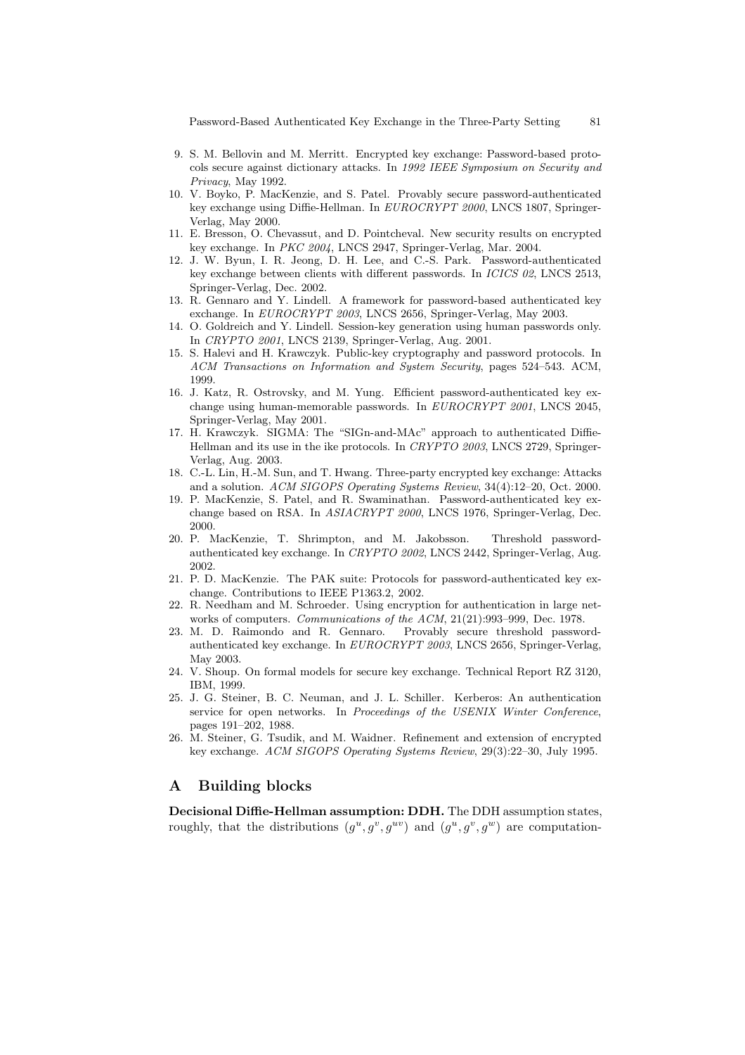Password-Based Authenticated Key Exchange in the Three-Party Setting 81

- 9. S. M. Bellovin and M. Merritt. Encrypted key exchange: Password-based protocols secure against dictionary attacks. In 1992 IEEE Symposium on Security and Privacy, May 1992.
- 10. V. Boyko, P. MacKenzie, and S. Patel. Provably secure password-authenticated key exchange using Diffie-Hellman. In EUROCRYPT 2000, LNCS 1807, Springer-Verlag, May 2000.
- 11. E. Bresson, O. Chevassut, and D. Pointcheval. New security results on encrypted key exchange. In PKC 2004, LNCS 2947, Springer-Verlag, Mar. 2004.
- 12. J. W. Byun, I. R. Jeong, D. H. Lee, and C.-S. Park. Password-authenticated key exchange between clients with different passwords. In ICICS 02, LNCS 2513, Springer-Verlag, Dec. 2002.
- 13. R. Gennaro and Y. Lindell. A framework for password-based authenticated key exchange. In EUROCRYPT 2003, LNCS 2656, Springer-Verlag, May 2003.
- 14. O. Goldreich and Y. Lindell. Session-key generation using human passwords only. In CRYPTO 2001, LNCS 2139, Springer-Verlag, Aug. 2001.
- 15. S. Halevi and H. Krawczyk. Public-key cryptography and password protocols. In ACM Transactions on Information and System Security, pages 524–543. ACM, 1999.
- 16. J. Katz, R. Ostrovsky, and M. Yung. Efficient password-authenticated key exchange using human-memorable passwords. In EUROCRYPT 2001, LNCS 2045, Springer-Verlag, May 2001.
- 17. H. Krawczyk. SIGMA: The "SIGn-and-MAc" approach to authenticated Diffie-Hellman and its use in the ike protocols. In CRYPTO 2003, LNCS 2729, Springer-Verlag, Aug. 2003.
- 18. C.-L. Lin, H.-M. Sun, and T. Hwang. Three-party encrypted key exchange: Attacks and a solution. ACM SIGOPS Operating Systems Review, 34(4):12–20, Oct. 2000.
- 19. P. MacKenzie, S. Patel, and R. Swaminathan. Password-authenticated key exchange based on RSA. In ASIACRYPT 2000, LNCS 1976, Springer-Verlag, Dec. 2000.
- 20. P. MacKenzie, T. Shrimpton, and M. Jakobsson. Threshold passwordauthenticated key exchange. In CRYPTO 2002, LNCS 2442, Springer-Verlag, Aug. 2002.
- 21. P. D. MacKenzie. The PAK suite: Protocols for password-authenticated key exchange. Contributions to IEEE P1363.2, 2002.
- 22. R. Needham and M. Schroeder. Using encryption for authentication in large networks of computers. *Communications of the ACM*, 21(21):993–999, Dec. 1978.
- 23. M. D. Raimondo and R. Gennaro. Provably secure threshold passwordauthenticated key exchange. In EUROCRYPT 2003, LNCS 2656, Springer-Verlag, May 2003.
- 24. V. Shoup. On formal models for secure key exchange. Technical Report RZ 3120, IBM, 1999.
- 25. J. G. Steiner, B. C. Neuman, and J. L. Schiller. Kerberos: An authentication service for open networks. In Proceedings of the USENIX Winter Conference, pages 191–202, 1988.
- 26. M. Steiner, G. Tsudik, and M. Waidner. Refinement and extension of encrypted key exchange. ACM SIGOPS Operating Systems Review, 29(3):22–30, July 1995.

# A Building blocks

Decisional Diffie-Hellman assumption: DDH. The DDH assumption states, roughly, that the distributions  $(g^u, g^v, g^{uv})$  and  $(g^u, g^v, g^w)$  are computation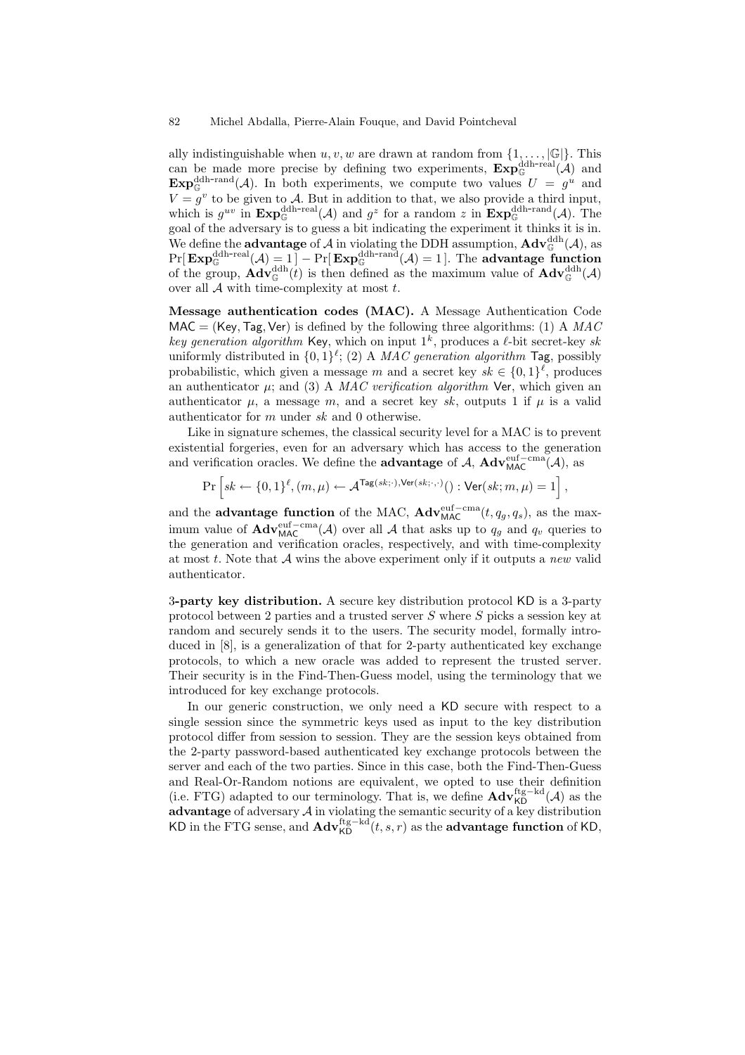ally indistinguishable when u, v, w are drawn at random from  $\{1, \ldots, |\mathbb{G}|\}$ . This can be made more precise by defining two experiments,  $\mathbf{Exp}_{\mathbb{G}}^{\text{ddh-real}}(\mathcal{A})$  and  $\text{Exp}_{\mathbb{G}}^{\text{ddh-rand}}(\mathcal{A})$ . In both experiments, we compute two values  $U = g^u$  and  $V = g^v$  to be given to A. But in addition to that, we also provide a third input, which is  $g^{uv}$  in  $\text{Exp}_{\mathbb{G}}^{\text{ddh-real}}(\mathcal{A})$  and  $g^z$  for a random z in  $\text{Exp}_{\mathbb{G}}^{\text{ddh-random}}(\mathcal{A})$ . The goal of the adversary is to guess a bit indicating the experiment it thinks it is in. We define the **advantage** of A in violating the DDH assumption,  $\mathbf{Adv}_{\mathbb{G}}^{\mathrm{ddh}}(\mathcal{A})$ , as  $Pr[\mathbf{Exp}_{\mathbb{G}}^{\text{ddh-real}}(\mathcal{A})=1]-Pr[\mathbf{Exp}_{\mathbb{G}}^{\text{ddh-random}}(\mathcal{A})=1].$  The advantage function of the group,  $\mathbf{Adv}_{\mathbb{G}}^{\mathrm{ddh}}(t)$  is then defined as the maximum value of  $\mathbf{Adv}_{\mathbb{G}}^{\mathrm{ddh}}(\mathcal{A})$ over all  $A$  with time-complexity at most  $t$ .

Message authentication codes (MAC). A Message Authentication Code  $MAC = (Key, Tag, Ver)$  is defined by the following three algorithms: (1) A MAC key generation algorithm Key, which on input  $1^k$ , produces a  $\ell$ -bit secret-key sk uniformly distributed in  $\{0,1\}^{\ell}$ ; (2) A *MAC generation algorithm* Tag, possibly probabilistic, which given a message m and a secret key  $sk \in \{0,1\}^{\ell}$ , produces an authenticator  $\mu$ ; and (3) A MAC verification algorithm Ver, which given an authenticator  $\mu$ , a message m, and a secret key sk, outputs 1 if  $\mu$  is a valid authenticator for m under sk and 0 otherwise.

Like in signature schemes, the classical security level for a MAC is to prevent existential forgeries, even for an adversary which has access to the generation and verification oracles. We define the **advantage** of  $A$ ,  $\text{Adv}_{\text{MAC}}^{\text{euf-cma}}(A)$ , as

$$
\Pr\left[sk \leftarrow \{0,1\}^{\ell}, (m,\mu) \leftarrow \mathcal{A}^{\text{Tag}(sk; \cdot), \text{Ver}(sk; \cdot, \cdot)}(): \text{Ver}(sk; m, \mu) = 1\right],
$$

and the **advantage function** of the MAC,  $\mathbf{Adv}_{\mathsf{MAC}}^{\text{euf-cma}}(t, q_g, q_s)$ , as the maximum value of  $\text{Adv}_{\text{MAC}}^{\text{euf-cma}}(\mathcal{A})$  over all  $\mathcal A$  that asks up to  $q_g$  and  $q_v$  queries to the generation and verification oracles, respectively, and with time-complexity at most t. Note that  $A$  wins the above experiment only if it outputs a *new* valid authenticator.

3-party key distribution. A secure key distribution protocol KD is a 3-party protocol between 2 parties and a trusted server S where S picks a session key at random and securely sends it to the users. The security model, formally introduced in [8], is a generalization of that for 2-party authenticated key exchange protocols, to which a new oracle was added to represent the trusted server. Their security is in the Find-Then-Guess model, using the terminology that we introduced for key exchange protocols.

In our generic construction, we only need a KD secure with respect to a single session since the symmetric keys used as input to the key distribution protocol differ from session to session. They are the session keys obtained from the 2-party password-based authenticated key exchange protocols between the server and each of the two parties. Since in this case, both the Find-Then-Guess and Real-Or-Random notions are equivalent, we opted to use their definition (i.e. FTG) adapted to our terminology. That is, we define  $\text{Adv}_{KD}^{\text{ftg-kd}}(\mathcal{A})$  as the **advantage** of adversary  $\mathcal A$  in violating the semantic security of a key distribution KD in the FTG sense, and  $\text{Adv}_{KD}^{\text{ftg-kd}}(t, s, r)$  as the advantage function of KD,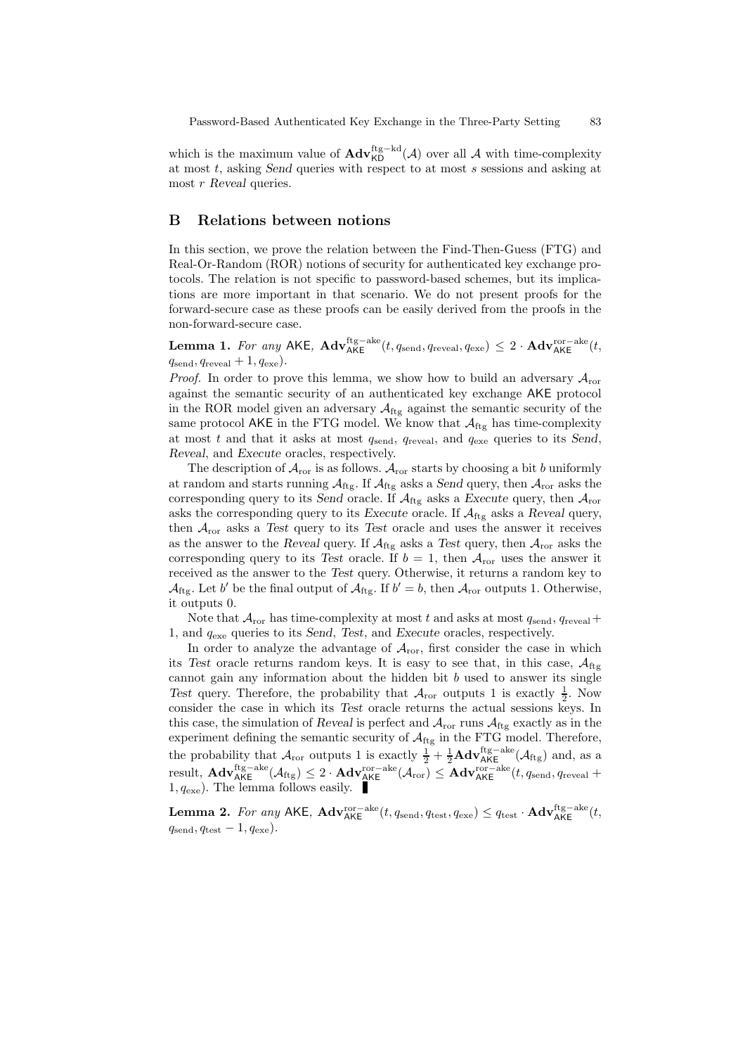which is the maximum value of  $\mathbf{Adv}_{KD}^{ftg-kd}(\mathcal{A})$  over all  $\mathcal{A}$  with time-complexity at most  $t$ , asking Send queries with respect to at most  $s$  sessions and asking at most r Reveal queries.

### B Relations between notions

In this section, we prove the relation between the Find-Then-Guess (FTG) and Real-Or-Random (ROR) notions of security for authenticated key exchange protocols. The relation is not specific to password-based schemes, but its implications are more important in that scenario. We do not present proofs for the forward-secure case as these proofs can be easily derived from the proofs in the non-forward-secure case.

Lemma 1. For any AKE,  $\mathbf{Adv}_{\mathsf{AKE}}^{\mathsf{ftg}-\mathsf{ake}}(t,q_{\mathrm{send}},q_{\mathrm{reveal}},q_{\mathrm{exe}}) \leq 2 \cdot \mathbf{Adv}_{\mathsf{AKE}}^{\mathsf{ror}-\mathsf{ake}}(t,$  $q_{\rm send}, q_{\rm reveal} + 1, q_{\rm exe}).$ 

*Proof.* In order to prove this lemma, we show how to build an adversary  $A_{\text{ror}}$ against the semantic security of an authenticated key exchange AKE protocol in the ROR model given an adversary  $A_{\text{ftg}}$  against the semantic security of the same protocol  $AKE$  in the FTG model. We know that  $A_{\text{ftg}}$  has time-complexity at most t and that it asks at most  $q_{send}$ ,  $q_{reve}$ , and  $q_{exe}$  queries to its Send, Reveal, and Execute oracles, respectively.

The description of  $A_{\text{ror}}$  is as follows.  $A_{\text{ror}}$  starts by choosing a bit b uniformly at random and starts running  $A_{\text{ftg}}$ . If  $A_{\text{ftg}}$  asks a Send query, then  $A_{\text{ror}}$  asks the corresponding query to its Send oracle. If  $A_{\text{ftg}}$  asks a Execute query, then  $A_{\text{ror}}$ asks the corresponding query to its Execute oracle. If  $A_{\text{ftg}}$  asks a Reveal query, then  $A_{\text{ror}}$  asks a Test query to its Test oracle and uses the answer it receives as the answer to the Reveal query. If  $A_{\text{ftr}}$  asks a Test query, then  $A_{\text{ror}}$  asks the corresponding query to its Test oracle. If  $b = 1$ , then  $\mathcal{A}_{\text{ror}}$  uses the answer it received as the answer to the Test query. Otherwise, it returns a random key to  $\mathcal{A}_{\text{ftg}}$ . Let b' be the final output of  $\mathcal{A}_{\text{ftg}}$ . If  $b' = b$ , then  $\mathcal{A}_{\text{ror}}$  outputs 1. Otherwise, it outputs 0.

Note that  $\mathcal{A}_{\text{ror}}$  has time-complexity at most t and asks at most  $q_{\text{send}}$ ,  $q_{\text{reval}} +$ 1, and  $q_{\text{exe}}$  queries to its Send, Test, and Execute oracles, respectively.

In order to analyze the advantage of  $A_{\text{ror}}$ , first consider the case in which its Test oracle returns random keys. It is easy to see that, in this case,  $A_{\text{ftg}}$ cannot gain any information about the hidden bit  $b$  used to answer its single Test query. Therefore, the probability that  $\mathcal{A}_{\text{ror}}$  outputs 1 is exactly  $\frac{1}{2}$ . Now consider the case in which its Test oracle returns the actual sessions keys. In this case, the simulation of Reveal is perfect and  $A_{\text{ror}}$  runs  $A_{\text{ffg}}$  exactly as in the experiment defining the semantic security of  $A_{\text{ftg}}$  in the FTG model. Therefore, the probability that  $\mathcal{A}_{\text{ror}}$  outputs 1 is exactly  $\frac{1}{2} + \frac{1}{2} \mathbf{Adv}_{\mathsf{AKE}}^{\mathsf{ftg}-\text{ake}}(\mathcal{A}_{\mathsf{ftg}})$  and, as a  $\text{result, }\mathbf{Adv}_{\mathsf{AKE}}^{\mathsf{ftg-ake}}(\mathcal{A}_{\mathsf{ftg}})\leq 2\cdot \mathbf{Adv}_{\mathsf{AKE}}^{\mathsf{ror-ake}}(\mathcal{A}_{\mathsf{ror}})\leq \mathbf{Adv}_{\mathsf{AKE}}^{\mathsf{ror-ake}}(t,q_{\text{send}},q_{\mathsf{reveal}}+\mathsf{der}_{\mathsf{At}})$  $1, q_{\text{exe}}$ . The lemma follows easily.

Lemma 2. For any AKE,  $\mathbf{Adv}_{\mathsf{AKE}}^{\text{tor}-\text{ake}}(t, q_{\text{send}}, q_{\text{test}}, q_{\text{exe}}) \leq q_{\text{test}} \cdot \mathbf{Adv}_{\mathsf{AKE}}^{\text{ftg}-\text{ake}}(t,$  $q_{\text{send}}, q_{\text{test}} - 1, q_{\text{exe}}).$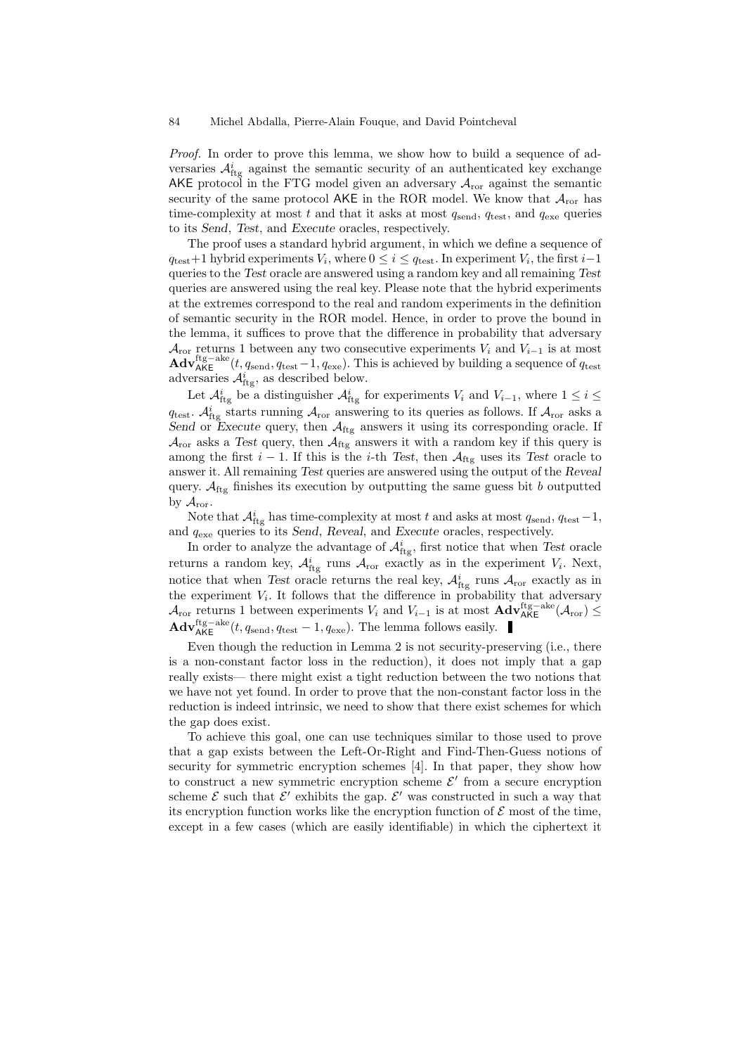*Proof.* In order to prove this lemma, we show how to build a sequence of adversaries  $\mathcal{A}^i_{\text{ftg}}$  against the semantic security of an authenticated key exchange AKE protocol in the FTG model given an adversary  $A_{\text{ror}}$  against the semantic security of the same protocol  $AKE$  in the ROR model. We know that  $A_{\text{ror}}$  has time-complexity at most  $t$  and that it asks at most  $q_{\text{send}}$ ,  $q_{\text{test}}$ , and  $q_{\text{exe}}$  queries to its Send, Test, and Execute oracles, respectively.

The proof uses a standard hybrid argument, in which we define a sequence of  $q_{\text{test}}+1$  hybrid experiments  $V_i$ , where  $0 \leq i \leq q_{\text{test}}$ . In experiment  $V_i$ , the first  $i-1$ queries to the Test oracle are answered using a random key and all remaining Test queries are answered using the real key. Please note that the hybrid experiments at the extremes correspond to the real and random experiments in the definition of semantic security in the ROR model. Hence, in order to prove the bound in the lemma, it suffices to prove that the difference in probability that adversary  $\mathcal{A}_{\text{ror}}$  returns 1 between any two consecutive experiments  $V_i$  and  $V_{i-1}$  is at most  $\text{Adv}_{\text{AKE}}^{\text{ftg-ake}}(t, q_{\text{send}}, q_{\text{test}}-1, q_{\text{exe}})$ . This is achieved by building a sequence of  $q_{\text{test}}$ adversaries  $\mathcal{A}^i_{\text{ftg}}$ , as described below.

Let  $\mathcal{A}^i_{\text{ftg}}$  be a distinguisher  $\mathcal{A}^i_{\text{ftg}}$  for experiments  $V_i$  and  $V_{i-1}$ , where  $1 \leq i \leq$  $q_{\text{test}}$ .  $\mathcal{A}^i_{\text{ftg}}$  starts running  $\mathcal{A}_{\text{ror}}$  answering to its queries as follows. If  $\mathcal{A}_{\text{ror}}$  asks a Send or Execute query, then  $A_{\text{ftg}}$  answers it using its corresponding oracle. If  $A_{\text{ror}}$  asks a Test query, then  $A_{\text{ftg}}$  answers it with a random key if this query is among the first  $i - 1$ . If this is the *i*-th Test, then  $A_{\text{ftg}}$  uses its Test oracle to answer it. All remaining Test queries are answered using the output of the Reveal query.  $A_{\text{ftg}}$  finishes its execution by outputting the same guess bit b outputted by  $\mathcal{A}_{\text{ror}}$ .

Note that  $\mathcal{A}^i_{\text{ftg}}$  has time-complexity at most t and asks at most  $q_{\text{send}}$ ,  $q_{\text{test}}-1$ , and  $q_{\text{exe}}$  queries to its Send, Reveal, and Execute oracles, respectively.

In order to analyze the advantage of  $\mathcal{A}^i_{\text{ftg}}$ , first notice that when Test oracle returns a random key,  $\mathcal{A}_{\text{ftg}}^i$  runs  $\mathcal{A}_{\text{ror}}$  exactly as in the experiment  $V_i$ . Next, notice that when Test oracle returns the real key,  $\mathcal{A}^i_{\text{ftg}}$  runs  $\mathcal{A}_{\text{ror}}$  exactly as in the experiment  $V_i$ . It follows that the difference in probability that adversary  $\mathcal{A}_{\text{ror}}$  returns 1 between experiments  $V_i$  and  $V_{i-1}$  is at most  $\mathbf{Adv}_{\mathsf{AKE}}^{\mathsf{ftg}-\text{ake}}(\mathcal{A}_{\text{ror}}) \leq$  $\mathbf{Adv}_{\mathsf{AKE}}^{\mathsf{ftg-ake}}(t, q_{\text{send}}, q_{\text{test}} - 1, q_{\text{exe}})$ . The lemma follows easily.

Even though the reduction in Lemma 2 is not security-preserving (i.e., there is a non-constant factor loss in the reduction), it does not imply that a gap really exists— there might exist a tight reduction between the two notions that we have not yet found. In order to prove that the non-constant factor loss in the reduction is indeed intrinsic, we need to show that there exist schemes for which the gap does exist.

To achieve this goal, one can use techniques similar to those used to prove that a gap exists between the Left-Or-Right and Find-Then-Guess notions of security for symmetric encryption schemes [4]. In that paper, they show how to construct a new symmetric encryption scheme  $\mathcal{E}'$  from a secure encryption scheme  $\mathcal E$  such that  $\mathcal E'$  exhibits the gap.  $\mathcal E'$  was constructed in such a way that its encryption function works like the encryption function of  $\mathcal E$  most of the time, except in a few cases (which are easily identifiable) in which the ciphertext it